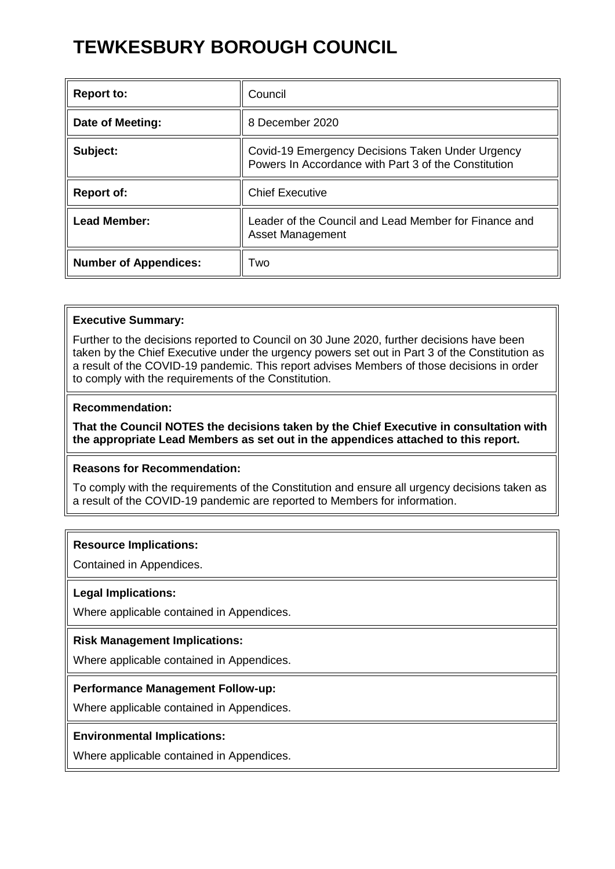# **TEWKESBURY BOROUGH COUNCIL**

| <b>Report to:</b>            | Council                                                                                                  |
|------------------------------|----------------------------------------------------------------------------------------------------------|
| Date of Meeting:             | 8 December 2020                                                                                          |
| Subject:                     | Covid-19 Emergency Decisions Taken Under Urgency<br>Powers In Accordance with Part 3 of the Constitution |
| <b>Report of:</b>            | <b>Chief Executive</b>                                                                                   |
| <b>Lead Member:</b>          | Leader of the Council and Lead Member for Finance and<br><b>Asset Management</b>                         |
| <b>Number of Appendices:</b> | Two                                                                                                      |

## **Executive Summary:**

Further to the decisions reported to Council on 30 June 2020, further decisions have been taken by the Chief Executive under the urgency powers set out in Part 3 of the Constitution as a result of the COVID-19 pandemic. This report advises Members of those decisions in order to comply with the requirements of the Constitution.

## **Recommendation:**

**That the Council NOTES the decisions taken by the Chief Executive in consultation with the appropriate Lead Members as set out in the appendices attached to this report.** 

## **Reasons for Recommendation:**

To comply with the requirements of the Constitution and ensure all urgency decisions taken as a result of the COVID-19 pandemic are reported to Members for information.

## **Resource Implications:**

Contained in Appendices.

## **Legal Implications:**

Where applicable contained in Appendices.

## **Risk Management Implications:**

Where applicable contained in Appendices.

## **Performance Management Follow-up:**

Where applicable contained in Appendices.

## **Environmental Implications:**

Where applicable contained in Appendices.